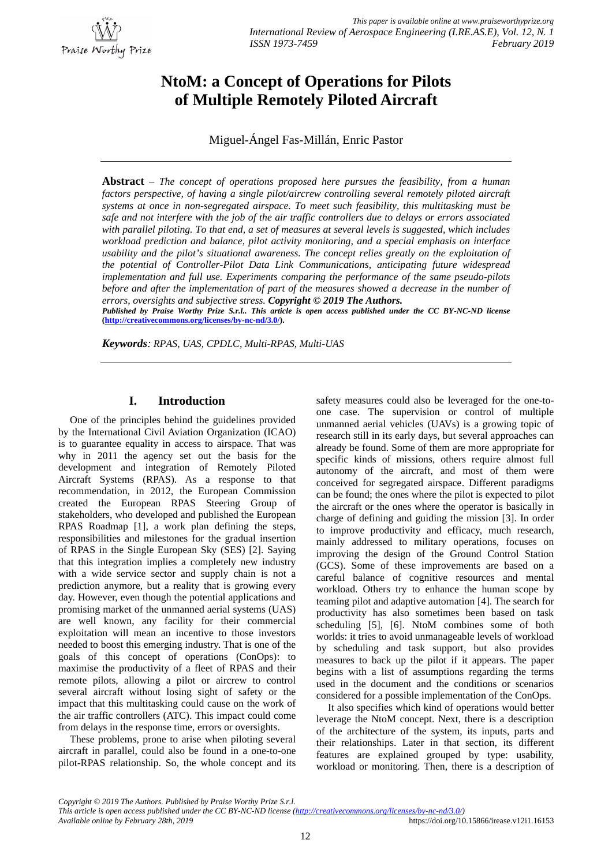

# **NtoM: a Concept of Operations for Pilots of Multiple Remotely Piloted Aircraft**

Miguel-Ángel Fas-Millán, Enric Pastor

**Abstract** – *The concept of operations proposed here pursues the feasibility, from a human factors perspective, of having a single pilot/aircrew controlling several remotely piloted aircraft systems at once in non-segregated airspace. To meet such feasibility, this multitasking must be safe and not interfere with the job of the air traffic controllers due to delays or errors associated with parallel piloting. To that end, a set of measures at several levels is suggested, which includes workload prediction and balance, pilot activity monitoring, and a special emphasis on interface usability and the pilot's situational awareness. The concept relies greatly on the exploitation of the potential of Controller-Pilot Data Link Communications, anticipating future widespread implementation and full use. Experiments comparing the performance of the same pseudo-pilots before and after the implementation of part of the measures showed a decrease in the number of errors, oversights and subjective stress. Copyright © 2019 The Authors.*

*Published by Praise Worthy Prize S.r.l.. This article is open access published under the CC BY-NC-ND license* **([http://creativecommons.org/licenses/by-nc-nd/3.0/\).](http://creativecommons.org/licenses/by-nc-nd/3.0/).)**

*Keywords: RPAS, UAS, CPDLC, Multi-RPAS, Multi-UAS*

# **I. Introduction**

One of the principles behind the guidelines provided by the International Civil Aviation Organization (ICAO) is to guarantee equality in access to airspace. That was why in 2011 the agency set out the basis for the development and integration of Remotely Piloted Aircraft Systems (RPAS). As a response to that recommendation, in 2012, the European Commission created the European RPAS Steering Group of stakeholders, who developed and published the European RPAS Roadmap [1], a work plan defining the steps, responsibilities and milestones for the gradual insertion of RPAS in the Single European Sky (SES) [2]. Saying that this integration implies a completely new industry with a wide service sector and supply chain is not a prediction anymore, but a reality that is growing every day. However, even though the potential applications and promising market of the unmanned aerial systems (UAS) are well known, any facility for their commercial exploitation will mean an incentive to those investors needed to boost this emerging industry. That is one of the goals of this concept of operations (ConOps): to maximise the productivity of a fleet of RPAS and their remote pilots, allowing a pilot or aircrew to control several aircraft without losing sight of safety or the impact that this multitasking could cause on the work of the air traffic controllers (ATC). This impact could come from delays in the response time, errors or oversights.

These problems, prone to arise when piloting several aircraft in parallel, could also be found in a one-to-one pilot-RPAS relationship. So, the whole concept and its safety measures could also be leveraged for the one-toone case. The supervision or control of multiple unmanned aerial vehicles (UAVs) is a growing topic of research still in its early days, but several approaches can already be found. Some of them are more appropriate for specific kinds of missions, others require almost full autonomy of the aircraft, and most of them were conceived for segregated airspace. Different paradigms can be found; the ones where the pilot is expected to pilot the aircraft or the ones where the operator is basically in charge of defining and guiding the mission [3]. In order to improve productivity and efficacy, much research, mainly addressed to military operations, focuses on improving the design of the Ground Control Station (GCS). Some of these improvements are based on a careful balance of cognitive resources and mental workload. Others try to enhance the human scope by teaming pilot and adaptive automation [4]. The search for productivity has also sometimes been based on task scheduling [5], [6]. NtoM combines some of both worlds: it tries to avoid unmanageable levels of workload by scheduling and task support, but also provides measures to back up the pilot if it appears. The paper begins with a list of assumptions regarding the terms used in the document and the conditions or scenarios considered for a possible implementation of the ConOps.

It also specifies which kind of operations would better leverage the NtoM concept. Next, there is a description of the architecture of the system, its inputs, parts and their relationships. Later in that section, its different features are explained grouped by type: usability, workload or monitoring. Then, there is a description of

*Copyright © 2019 The Authors. Published by Praise Worthy Prize S.r.l.*

*Available online by February 28th, 2019* <https://doi.org/10.15866/irease.v12i1.16153>

*This article is open access published under the CC BY-NC-ND license [\(http://creativecommons.org/licenses/by-nc-nd/3.0/\)](http://creativecommons.org/licenses/by-nc-nd/3.0/))*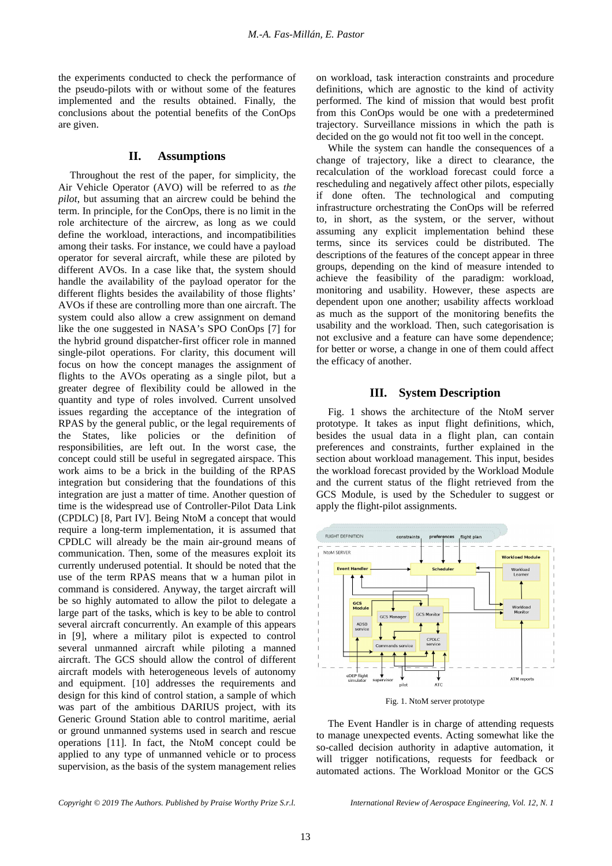the experiments conducted to check the performance of the pseudo-pilots with or without some of the features implemented and the results obtained. Finally, the conclusions about the potential benefits of the ConOps are given.

#### **II. Assumptions**

Throughout the rest of the paper, for simplicity, the Air Vehicle Operator (AVO) will be referred to as *the pilot*, but assuming that an aircrew could be behind the term. In principle, for the ConOps, there is no limit in the role architecture of the aircrew, as long as we could define the workload, interactions, and incompatibilities among their tasks. For instance, we could have a payload operator for several aircraft, while these are piloted by different AVOs. In a case like that, the system should handle the availability of the payload operator for the different flights besides the availability of those flights' AVOs if these are controlling more than one aircraft. The system could also allow a crew assignment on demand like the one suggested in NASA's SPO ConOps [7] for the hybrid ground dispatcher-first officer role in manned single-pilot operations. For clarity, this document will focus on how the concept manages the assignment of flights to the AVOs operating as a single pilot, but a greater degree of flexibility could be allowed in the quantity and type of roles involved. Current unsolved issues regarding the acceptance of the integration of RPAS by the general public, or the legal requirements of the States, like policies or the definition of responsibilities, are left out. In the worst case, the concept could still be useful in segregated airspace. This work aims to be a brick in the building of the RPAS integration but considering that the foundations of this integration are just a matter of time. Another question of time is the widespread use of Controller-Pilot Data Link (CPDLC) [8, Part IV]. Being NtoM a concept that would require a long-term implementation, it is assumed that CPDLC will already be the main air-ground means of communication. Then, some of the measures exploit its currently underused potential. It should be noted that the use of the term RPAS means that w a human pilot in command is considered. Anyway, the target aircraft will be so highly automated to allow the pilot to delegate a large part of the tasks, which is key to be able to control several aircraft concurrently. An example of this appears in [9], where a military pilot is expected to control several unmanned aircraft while piloting a manned aircraft. The GCS should allow the control of different aircraft models with heterogeneous levels of autonomy and equipment. [10] addresses the requirements and design for this kind of control station, a sample of which was part of the ambitious DARIUS project, with its Generic Ground Station able to control maritime, aerial or ground unmanned systems used in search and rescue operations [11]. In fact, the NtoM concept could be applied to any type of unmanned vehicle or to process supervision, as the basis of the system management relies on workload, task interaction constraints and procedure definitions, which are agnostic to the kind of activity performed. The kind of mission that would best profit from this ConOps would be one with a predetermined trajectory. Surveillance missions in which the path is decided on the go would not fit too well in the concept.

While the system can handle the consequences of a change of trajectory, like a direct to clearance, the recalculation of the workload forecast could force a rescheduling and negatively affect other pilots, especially if done often. The technological and computing infrastructure orchestrating the ConOps will be referred to, in short, as the system, or the server, without assuming any explicit implementation behind these terms, since its services could be distributed. The descriptions of the features of the concept appear in three groups, depending on the kind of measure intended to achieve the feasibility of the paradigm: workload, monitoring and usability. However, these aspects are dependent upon one another; usability affects workload as much as the support of the monitoring benefits the usability and the workload. Then, such categorisation is not exclusive and a feature can have some dependence; for better or worse, a change in one of them could affect the efficacy of another.

#### **III. System Description**

Fig. 1 shows the architecture of the NtoM server prototype. It takes as input flight definitions, which, besides the usual data in a flight plan, can contain preferences and constraints, further explained in the section about workload management. This input, besides the workload forecast provided by the Workload Module and the current status of the flight retrieved from the GCS Module, is used by the Scheduler to suggest or apply the flight-pilot assignments.



Fig. 1. NtoM server prototype

The Event Handler is in charge of attending requests to manage unexpected events. Acting somewhat like the so-called decision authority in adaptive automation, it will trigger notifications, requests for feedback or automated actions. The Workload Monitor or the GCS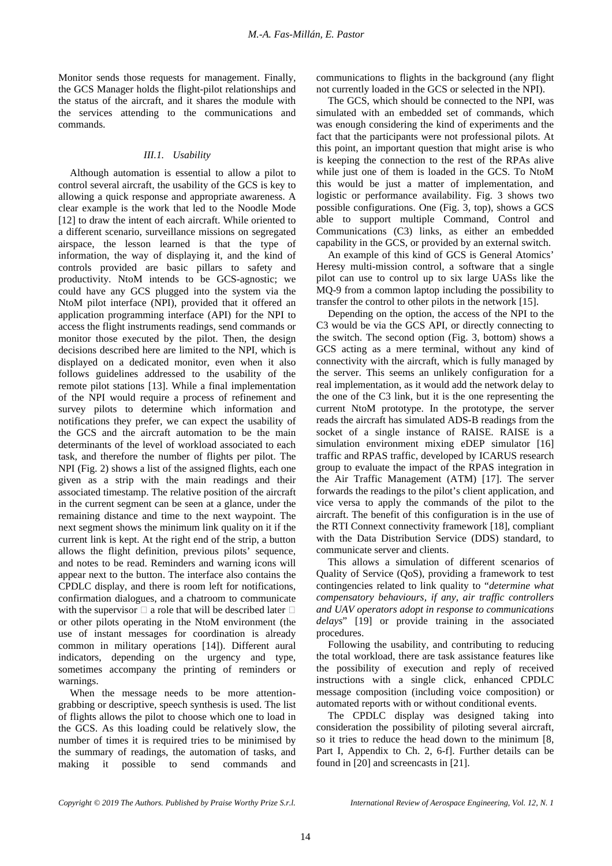Monitor sends those requests for management. Finally, the GCS Manager holds the flight-pilot relationships and the status of the aircraft, and it shares the module with the services attending to the communications and commands.

#### *III.1. Usability*

Although automation is essential to allow a pilot to control several aircraft, the usability of the GCS is key to allowing a quick response and appropriate awareness. A clear example is the work that led to the Noodle Mode [12] to draw the intent of each aircraft. While oriented to a different scenario, surveillance missions on segregated airspace, the lesson learned is that the type of information, the way of displaying it, and the kind of controls provided are basic pillars to safety and productivity. NtoM intends to be GCS-agnostic; we could have any GCS plugged into the system via the NtoM pilot interface (NPI), provided that it offered an application programming interface (API) for the NPI to access the flight instruments readings, send commands or monitor those executed by the pilot. Then, the design decisions described here are limited to the NPI, which is displayed on a dedicated monitor, even when it also follows guidelines addressed to the usability of the remote pilot stations [13]. While a final implementation of the NPI would require a process of refinement and survey pilots to determine which information and notifications they prefer, we can expect the usability of the GCS and the aircraft automation to be the main determinants of the level of workload associated to each task, and therefore the number of flights per pilot. The NPI (Fig. 2) shows a list of the assigned flights, each one given as a strip with the main readings and their associated timestamp. The relative position of the aircraft in the current segment can be seen at a glance, under the remaining distance and time to the next waypoint. The next segment shows the minimum link quality on it if the current link is kept. At the right end of the strip, a button allows the flight definition, previous pilots' sequence, and notes to be read. Reminders and warning icons will appear next to the button. The interface also contains the CPDLC display, and there is room left for notifications, confirmation dialogues, and a chatroom to communicate with the supervisor  $\Box$  a role that will be described later  $\Box$ or other pilots operating in the NtoM environment (the use of instant messages for coordination is already common in military operations [14]). Different aural indicators, depending on the urgency and type, sometimes accompany the printing of reminders or warnings.

When the message needs to be more attentiongrabbing or descriptive, speech synthesis is used. The list of flights allows the pilot to choose which one to load in the GCS. As this loading could be relatively slow, the number of times it is required tries to be minimised by the summary of readings, the automation of tasks, and making it possible to send commands and

communications to flights in the background (any flight not currently loaded in the GCS or selected in the NPI).

The GCS, which should be connected to the NPI, was simulated with an embedded set of commands, which was enough considering the kind of experiments and the fact that the participants were not professional pilots. At this point, an important question that might arise is who is keeping the connection to the rest of the RPAs alive while just one of them is loaded in the GCS. To NtoM this would be just a matter of implementation, and logistic or performance availability. Fig. 3 shows two possible configurations. One (Fig. 3, top), shows a GCS able to support multiple Command, Control and Communications (C3) links, as either an embedded capability in the GCS, or provided by an external switch.

An example of this kind of GCS is General Atomics' Heresy multi-mission control, a software that a single pilot can use to control up to six large UASs like the MQ-9 from a common laptop including the possibility to transfer the control to other pilots in the network [15].

Depending on the option, the access of the NPI to the C3 would be via the GCS API, or directly connecting to the switch. The second option (Fig. 3, bottom) shows a GCS acting as a mere terminal, without any kind of connectivity with the aircraft, which is fully managed by the server. This seems an unlikely configuration for a real implementation, as it would add the network delay to the one of the C3 link, but it is the one representing the current NtoM prototype. In the prototype, the server reads the aircraft has simulated ADS-B readings from the socket of a single instance of RAISE. RAISE is a simulation environment mixing eDEP simulator [16] traffic and RPAS traffic, developed by ICARUS research group to evaluate the impact of the RPAS integration in the Air Traffic Management (ATM) [17]. The server forwards the readings to the pilot's client application, and vice versa to apply the commands of the pilot to the aircraft. The benefit of this configuration is in the use of the RTI Connext connectivity framework [18], compliant with the Data Distribution Service (DDS) standard, to communicate server and clients.

This allows a simulation of different scenarios of Quality of Service (QoS), providing a framework to test contingencies related to link quality to "*determine what compensatory behaviours, if any, air traffic controllers and UAV operators adopt in response to communications delays*" [19] or provide training in the associated procedures.

Following the usability, and contributing to reducing the total workload, there are task assistance features like the possibility of execution and reply of received instructions with a single click, enhanced CPDLC message composition (including voice composition) or automated reports with or without conditional events.

The CPDLC display was designed taking into consideration the possibility of piloting several aircraft, so it tries to reduce the head down to the minimum [8, Part I, Appendix to Ch. 2, 6-f]. Further details can be found in [20] and screencasts in [21].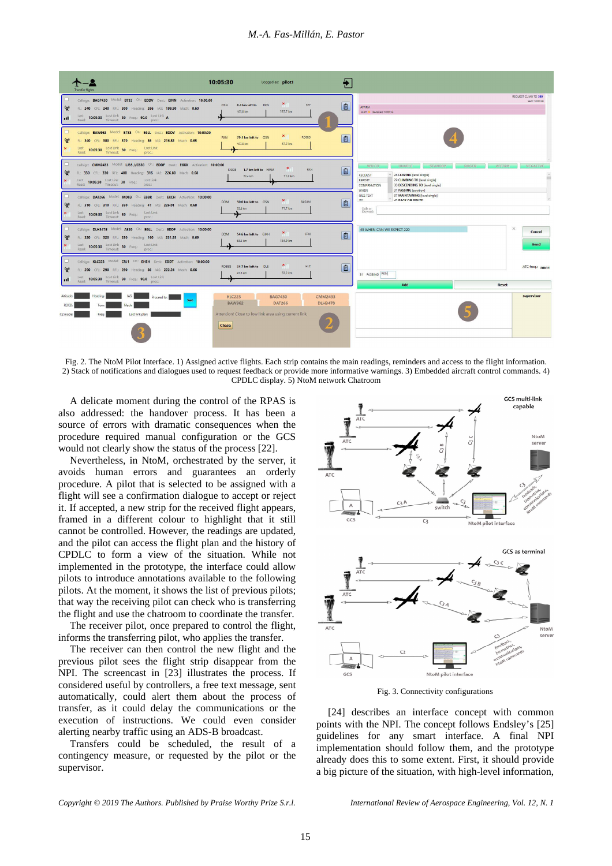#### *M.-A. Fas-Millán, E. Pastor*



Fig. 2. The NtoM Pilot Interface. 1) Assigned active flights. Each strip contains the main readings, reminders and access to the flight information. 2) Stack of notifications and dialogues used to request feedback or provide more informative warnings. 3) Embedded aircraft control commands. 4) CPDLC display. 5) NtoM network Chatroom

A delicate moment during the control of the RPAS is also addressed: the handover process. It has been a source of errors with dramatic consequences when the procedure required manual configuration or the GCS would not clearly show the status of the process [22].

Nevertheless, in NtoM, orchestrated by the server, it avoids human errors and guarantees an orderly procedure. A pilot that is selected to be assigned with a flight will see a confirmation dialogue to accept or reject it. If accepted, a new strip for the received flight appears, framed in a different colour to highlight that it still cannot be controlled. However, the readings are updated, and the pilot can access the flight plan and the history of CPDLC to form a view of the situation. While not implemented in the prototype, the interface could allow pilots to introduce annotations available to the following pilots. At the moment, it shows the list of previous pilots; that way the receiving pilot can check who is transferring the flight and use the chatroom to coordinate the transfer.

The receiver pilot, once prepared to control the flight, informs the transferring pilot, who applies the transfer.

The receiver can then control the new flight and the previous pilot sees the flight strip disappear from the NPI. The screencast in [23] illustrates the process. If considered useful by controllers, a free text message, sent automatically, could alert them about the process of transfer, as it could delay the communications or the execution of instructions. We could even consider alerting nearby traffic using an ADS-B broadcast.

Transfers could be scheduled, the result of a contingency measure, or requested by the pilot or the supervisor.



Fig. 3. Connectivity configurations

[24] describes an interface concept with common points with the NPI. The concept follows Endsley's [25] guidelines for any smart interface. A final NPI implementation should follow them, and the prototype already does this to some extent. First, it should provide a big picture of the situation, with high-level information,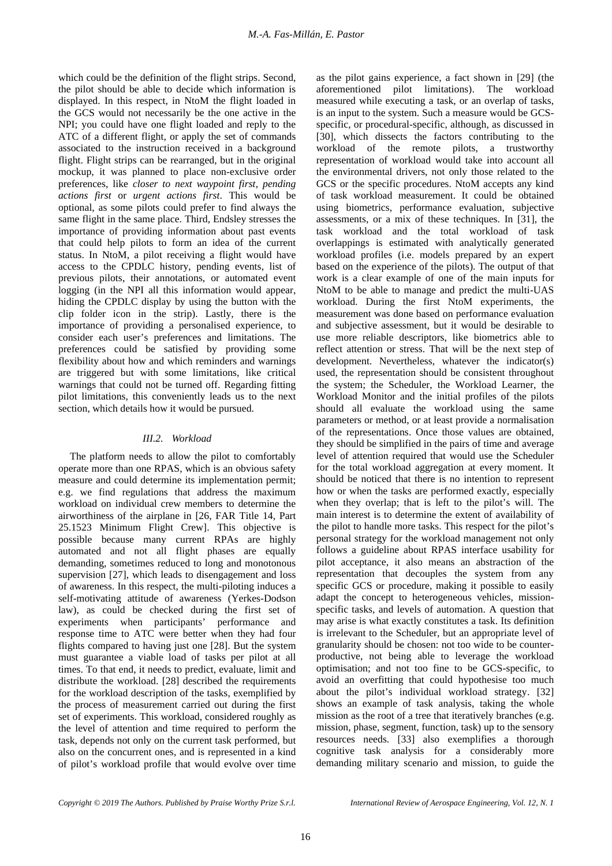which could be the definition of the flight strips. Second, the pilot should be able to decide which information is displayed. In this respect, in NtoM the flight loaded in the GCS would not necessarily be the one active in the NPI; you could have one flight loaded and reply to the ATC of a different flight, or apply the set of commands associated to the instruction received in a background flight. Flight strips can be rearranged, but in the original mockup, it was planned to place non-exclusive order preferences, like *closer to next waypoint first*, *pending actions first* or *urgent actions first*. This would be optional, as some pilots could prefer to find always the same flight in the same place. Third, Endsley stresses the importance of providing information about past events that could help pilots to form an idea of the current status. In NtoM, a pilot receiving a flight would have access to the CPDLC history, pending events, list of previous pilots, their annotations, or automated event logging (in the NPI all this information would appear, hiding the CPDLC display by using the button with the clip folder icon in the strip). Lastly, there is the importance of providing a personalised experience, to consider each user's preferences and limitations. The preferences could be satisfied by providing some flexibility about how and which reminders and warnings are triggered but with some limitations, like critical warnings that could not be turned off. Regarding fitting pilot limitations, this conveniently leads us to the next section, which details how it would be pursued.

## *III.2. Workload*

The platform needs to allow the pilot to comfortably operate more than one RPAS, which is an obvious safety measure and could determine its implementation permit; e.g. we find regulations that address the maximum workload on individual crew members to determine the airworthiness of the airplane in [26, FAR Title 14, Part 25.1523 Minimum Flight Crew]. This objective is possible because many current RPAs are highly automated and not all flight phases are equally demanding, sometimes reduced to long and monotonous supervision [27], which leads to disengagement and loss of awareness. In this respect, the multi-piloting induces a self-motivating attitude of awareness (Yerkes-Dodson law), as could be checked during the first set of experiments when participants' performance and response time to ATC were better when they had four flights compared to having just one [28]. But the system must guarantee a viable load of tasks per pilot at all times. To that end, it needs to predict, evaluate, limit and distribute the workload. [28] described the requirements for the workload description of the tasks, exemplified by the process of measurement carried out during the first set of experiments. This workload, considered roughly as the level of attention and time required to perform the task, depends not only on the current task performed, but also on the concurrent ones, and is represented in a kind of pilot's workload profile that would evolve over time as the pilot gains experience, a fact shown in [29] (the aforementioned pilot limitations). The workload measured while executing a task, or an overlap of tasks, is an input to the system. Such a measure would be GCSspecific, or procedural-specific, although, as discussed in [30], which dissects the factors contributing to the workload of the remote pilots, a trustworthy representation of workload would take into account all the environmental drivers, not only those related to the GCS or the specific procedures. NtoM accepts any kind of task workload measurement. It could be obtained using biometrics, performance evaluation, subjective assessments, or a mix of these techniques. In [31], the task workload and the total workload of task overlappings is estimated with analytically generated workload profiles (i.e. models prepared by an expert based on the experience of the pilots). The output of that work is a clear example of one of the main inputs for NtoM to be able to manage and predict the multi-UAS workload. During the first NtoM experiments, the measurement was done based on performance evaluation and subjective assessment, but it would be desirable to use more reliable descriptors, like biometrics able to reflect attention or stress. That will be the next step of development. Nevertheless, whatever the indicator(s) used, the representation should be consistent throughout the system; the Scheduler, the Workload Learner, the Workload Monitor and the initial profiles of the pilots should all evaluate the workload using the same parameters or method, or at least provide a normalisation of the representations. Once those values are obtained, they should be simplified in the pairs of time and average level of attention required that would use the Scheduler for the total workload aggregation at every moment. It should be noticed that there is no intention to represent how or when the tasks are performed exactly, especially when they overlap; that is left to the pilot's will. The main interest is to determine the extent of availability of the pilot to handle more tasks. This respect for the pilot's personal strategy for the workload management not only follows a guideline about RPAS interface usability for pilot acceptance, it also means an abstraction of the representation that decouples the system from any specific GCS or procedure, making it possible to easily adapt the concept to heterogeneous vehicles, missionspecific tasks, and levels of automation. A question that may arise is what exactly constitutes a task. Its definition is irrelevant to the Scheduler, but an appropriate level of granularity should be chosen: not too wide to be counterproductive, not being able to leverage the workload optimisation; and not too fine to be GCS-specific, to avoid an overfitting that could hypothesise too much about the pilot's individual workload strategy. [32] shows an example of task analysis, taking the whole mission as the root of a tree that iteratively branches (e.g. mission, phase, segment, function, task) up to the sensory resources needs. [33] also exemplifies a thorough cognitive task analysis for a considerably more demanding military scenario and mission, to guide the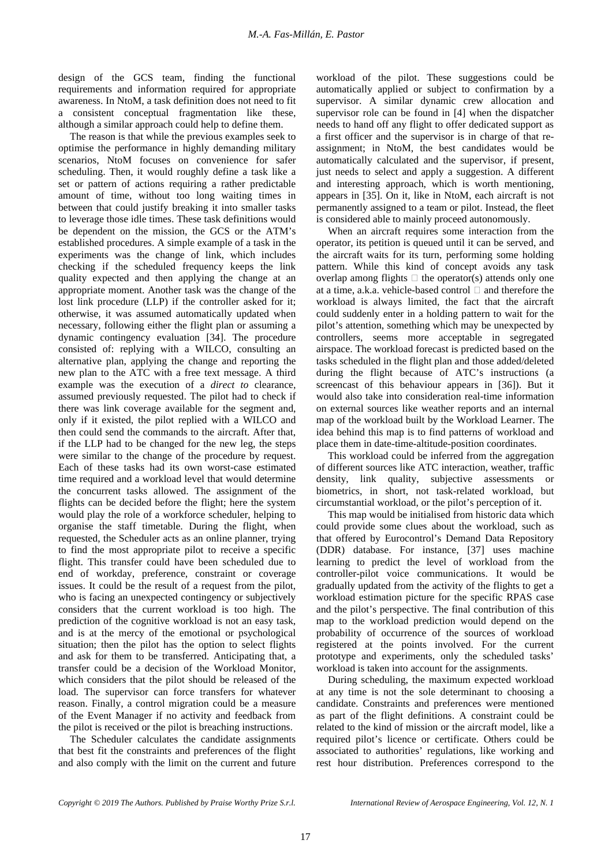design of the GCS team, finding the functional requirements and information required for appropriate awareness. In NtoM, a task definition does not need to fit a consistent conceptual fragmentation like these, although a similar approach could help to define them.

The reason is that while the previous examples seek to optimise the performance in highly demanding military scenarios, NtoM focuses on convenience for safer scheduling. Then, it would roughly define a task like a set or pattern of actions requiring a rather predictable amount of time, without too long waiting times in between that could justify breaking it into smaller tasks to leverage those idle times. These task definitions would be dependent on the mission, the GCS or the ATM's established procedures. A simple example of a task in the experiments was the change of link, which includes checking if the scheduled frequency keeps the link quality expected and then applying the change at an appropriate moment. Another task was the change of the lost link procedure (LLP) if the controller asked for it; otherwise, it was assumed automatically updated when necessary, following either the flight plan or assuming a dynamic contingency evaluation [34]. The procedure consisted of: replying with a WILCO, consulting an alternative plan, applying the change and reporting the new plan to the ATC with a free text message. A third example was the execution of a *direct to* clearance, assumed previously requested. The pilot had to check if there was link coverage available for the segment and, only if it existed, the pilot replied with a WILCO and then could send the commands to the aircraft. After that, if the LLP had to be changed for the new leg, the steps were similar to the change of the procedure by request. Each of these tasks had its own worst-case estimated time required and a workload level that would determine the concurrent tasks allowed. The assignment of the flights can be decided before the flight; here the system would play the role of a workforce scheduler, helping to organise the staff timetable. During the flight, when requested, the Scheduler acts as an online planner, trying to find the most appropriate pilot to receive a specific flight. This transfer could have been scheduled due to end of workday, preference, constraint or coverage issues. It could be the result of a request from the pilot, who is facing an unexpected contingency or subjectively considers that the current workload is too high. The prediction of the cognitive workload is not an easy task, and is at the mercy of the emotional or psychological situation; then the pilot has the option to select flights and ask for them to be transferred. Anticipating that, a transfer could be a decision of the Workload Monitor, which considers that the pilot should be released of the load. The supervisor can force transfers for whatever reason. Finally, a control migration could be a measure of the Event Manager if no activity and feedback from the pilot is received or the pilot is breaching instructions.

The Scheduler calculates the candidate assignments that best fit the constraints and preferences of the flight and also comply with the limit on the current and future

workload of the pilot. These suggestions could be automatically applied or subject to confirmation by a supervisor. A similar dynamic crew allocation and supervisor role can be found in [4] when the dispatcher needs to hand off any flight to offer dedicated support as a first officer and the supervisor is in charge of that reassignment; in NtoM, the best candidates would be automatically calculated and the supervisor, if present, just needs to select and apply a suggestion. A different and interesting approach, which is worth mentioning, appears in [35]. On it, like in NtoM, each aircraft is not permanently assigned to a team or pilot. Instead, the fleet is considered able to mainly proceed autonomously.

When an aircraft requires some interaction from the operator, its petition is queued until it can be served, and the aircraft waits for its turn, performing some holding pattern. While this kind of concept avoids any task overlap among flights  $\Box$  the operator(s) attends only one at a time, a.k.a. vehicle-based control  $\Box$  and therefore the workload is always limited, the fact that the aircraft could suddenly enter in a holding pattern to wait for the pilot's attention, something which may be unexpected by controllers, seems more acceptable in segregated airspace. The workload forecast is predicted based on the tasks scheduled in the flight plan and those added/deleted during the flight because of ATC's instructions (a screencast of this behaviour appears in [36]). But it would also take into consideration real-time information on external sources like weather reports and an internal map of the workload built by the Workload Learner. The idea behind this map is to find patterns of workload and place them in date-time-altitude-position coordinates.

This workload could be inferred from the aggregation of different sources like ATC interaction, weather, traffic density, link quality, subjective assessments or biometrics, in short, not task-related workload, but circumstantial workload, or the pilot's perception of it.

This map would be initialised from historic data which could provide some clues about the workload, such as that offered by Eurocontrol's Demand Data Repository (DDR) database. For instance, [37] uses machine learning to predict the level of workload from the controller-pilot voice communications. It would be gradually updated from the activity of the flights to get a workload estimation picture for the specific RPAS case and the pilot's perspective. The final contribution of this map to the workload prediction would depend on the probability of occurrence of the sources of workload registered at the points involved. For the current prototype and experiments, only the scheduled tasks' workload is taken into account for the assignments.

During scheduling, the maximum expected workload at any time is not the sole determinant to choosing a candidate. Constraints and preferences were mentioned as part of the flight definitions. A constraint could be related to the kind of mission or the aircraft model, like a required pilot's licence or certificate. Others could be associated to authorities' regulations, like working and rest hour distribution. Preferences correspond to the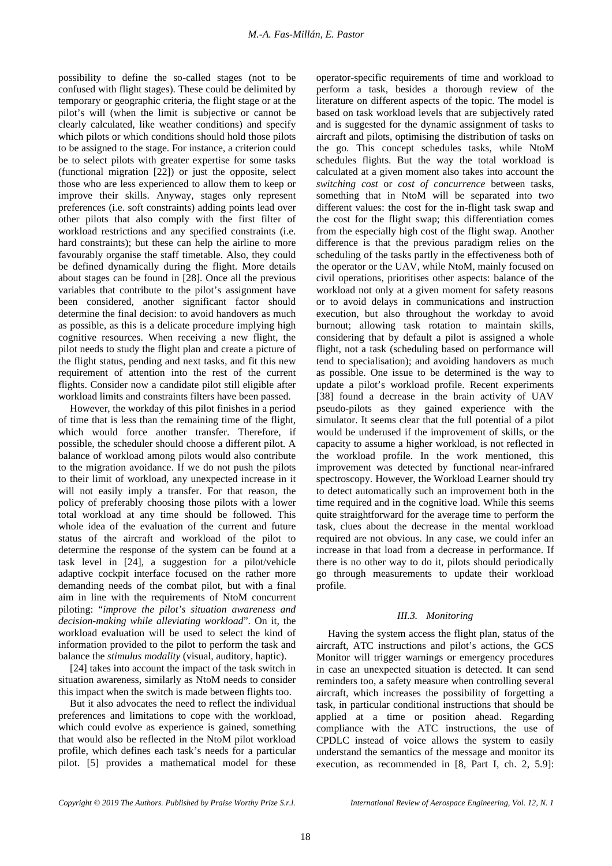possibility to define the so-called stages (not to be confused with flight stages). These could be delimited by temporary or geographic criteria, the flight stage or at the pilot's will (when the limit is subjective or cannot be clearly calculated, like weather conditions) and specify which pilots or which conditions should hold those pilots to be assigned to the stage. For instance, a criterion could be to select pilots with greater expertise for some tasks (functional migration [22]) or just the opposite, select those who are less experienced to allow them to keep or improve their skills. Anyway, stages only represent preferences (i.e. soft constraints) adding points lead over other pilots that also comply with the first filter of workload restrictions and any specified constraints (i.e. hard constraints); but these can help the airline to more favourably organise the staff timetable. Also, they could be defined dynamically during the flight. More details about stages can be found in [28]. Once all the previous variables that contribute to the pilot's assignment have been considered, another significant factor should determine the final decision: to avoid handovers as much as possible, as this is a delicate procedure implying high cognitive resources. When receiving a new flight, the pilot needs to study the flight plan and create a picture of the flight status, pending and next tasks, and fit this new requirement of attention into the rest of the current flights. Consider now a candidate pilot still eligible after workload limits and constraints filters have been passed.

However, the workday of this pilot finishes in a period of time that is less than the remaining time of the flight, which would force another transfer. Therefore, if possible, the scheduler should choose a different pilot. A balance of workload among pilots would also contribute to the migration avoidance. If we do not push the pilots to their limit of workload, any unexpected increase in it will not easily imply a transfer. For that reason, the policy of preferably choosing those pilots with a lower total workload at any time should be followed. This whole idea of the evaluation of the current and future status of the aircraft and workload of the pilot to determine the response of the system can be found at a task level in [24], a suggestion for a pilot/vehicle adaptive cockpit interface focused on the rather more demanding needs of the combat pilot, but with a final aim in line with the requirements of NtoM concurrent piloting: "*improve the pilot's situation awareness and decision-making while alleviating workload*". On it, the workload evaluation will be used to select the kind of information provided to the pilot to perform the task and balance the *stimulus modality* (visual, auditory, haptic).

[24] takes into account the impact of the task switch in situation awareness, similarly as NtoM needs to consider this impact when the switch is made between flights too.

But it also advocates the need to reflect the individual preferences and limitations to cope with the workload, which could evolve as experience is gained, something that would also be reflected in the NtoM pilot workload profile, which defines each task's needs for a particular pilot. [5] provides a mathematical model for these operator-specific requirements of time and workload to perform a task, besides a thorough review of the literature on different aspects of the topic. The model is based on task workload levels that are subjectively rated and is suggested for the dynamic assignment of tasks to aircraft and pilots, optimising the distribution of tasks on the go. This concept schedules tasks, while NtoM schedules flights. But the way the total workload is calculated at a given moment also takes into account the *switching cost* or *cost of concurrence* between tasks, something that in NtoM will be separated into two different values: the cost for the in-flight task swap and the cost for the flight swap; this differentiation comes from the especially high cost of the flight swap. Another difference is that the previous paradigm relies on the scheduling of the tasks partly in the effectiveness both of the operator or the UAV, while NtoM, mainly focused on civil operations, prioritises other aspects: balance of the workload not only at a given moment for safety reasons or to avoid delays in communications and instruction execution, but also throughout the workday to avoid burnout; allowing task rotation to maintain skills, considering that by default a pilot is assigned a whole flight, not a task (scheduling based on performance will tend to specialisation); and avoiding handovers as much as possible. One issue to be determined is the way to update a pilot's workload profile. Recent experiments [38] found a decrease in the brain activity of UAV pseudo-pilots as they gained experience with the simulator. It seems clear that the full potential of a pilot would be underused if the improvement of skills, or the capacity to assume a higher workload, is not reflected in the workload profile. In the work mentioned, this improvement was detected by functional near-infrared spectroscopy. However, the Workload Learner should try to detect automatically such an improvement both in the time required and in the cognitive load. While this seems quite straightforward for the average time to perform the task, clues about the decrease in the mental workload required are not obvious. In any case, we could infer an increase in that load from a decrease in performance. If there is no other way to do it, pilots should periodically go through measurements to update their workload profile.

#### *III.3. Monitoring*

Having the system access the flight plan, status of the aircraft, ATC instructions and pilot's actions, the GCS Monitor will trigger warnings or emergency procedures in case an unexpected situation is detected. It can send reminders too, a safety measure when controlling several aircraft, which increases the possibility of forgetting a task, in particular conditional instructions that should be applied at a time or position ahead. Regarding compliance with the ATC instructions, the use of CPDLC instead of voice allows the system to easily understand the semantics of the message and monitor its execution, as recommended in [8, Part I, ch. 2, 5.9]: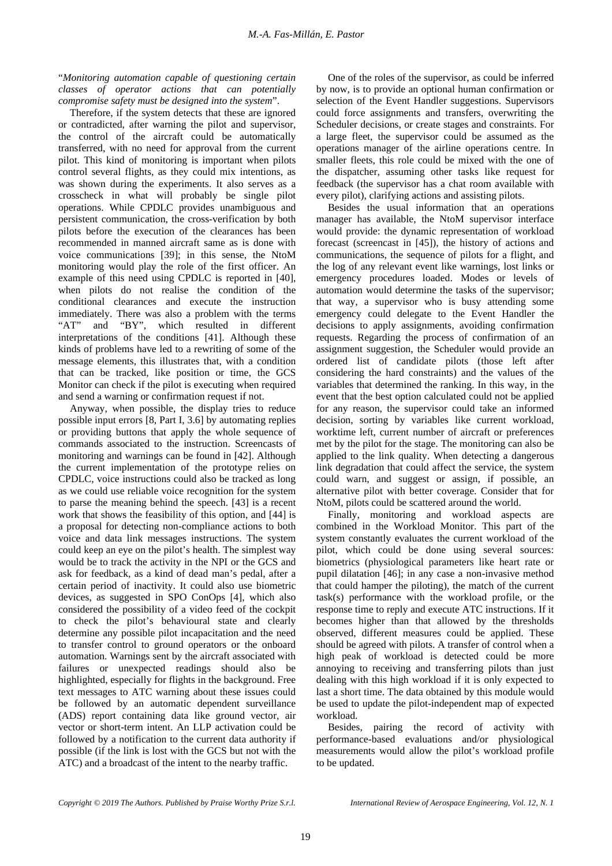"*Monitoring automation capable of questioning certain classes of operator actions that can potentially compromise safety must be designed into the system*".

Therefore, if the system detects that these are ignored or contradicted, after warning the pilot and supervisor, the control of the aircraft could be automatically transferred, with no need for approval from the current pilot. This kind of monitoring is important when pilots control several flights, as they could mix intentions, as was shown during the experiments. It also serves as a crosscheck in what will probably be single pilot operations. While CPDLC provides unambiguous and persistent communication, the cross-verification by both pilots before the execution of the clearances has been recommended in manned aircraft same as is done with voice communications [39]; in this sense, the NtoM monitoring would play the role of the first officer. An example of this need using CPDLC is reported in [40], when pilots do not realise the condition of the conditional clearances and execute the instruction immediately. There was also a problem with the terms "AT" and "BY", which resulted in different interpretations of the conditions [41]. Although these kinds of problems have led to a rewriting of some of the message elements, this illustrates that, with a condition that can be tracked, like position or time, the GCS Monitor can check if the pilot is executing when required and send a warning or confirmation request if not.

Anyway, when possible, the display tries to reduce possible input errors [8, Part I, 3.6] by automating replies or providing buttons that apply the whole sequence of commands associated to the instruction. Screencasts of monitoring and warnings can be found in [42]. Although the current implementation of the prototype relies on CPDLC, voice instructions could also be tracked as long as we could use reliable voice recognition for the system to parse the meaning behind the speech. [43] is a recent work that shows the feasibility of this option, and [44] is a proposal for detecting non-compliance actions to both voice and data link messages instructions. The system could keep an eye on the pilot's health. The simplest way would be to track the activity in the NPI or the GCS and ask for feedback, as a kind of dead man's pedal, after a certain period of inactivity. It could also use biometric devices, as suggested in SPO ConOps [4], which also considered the possibility of a video feed of the cockpit to check the pilot's behavioural state and clearly determine any possible pilot incapacitation and the need to transfer control to ground operators or the onboard automation. Warnings sent by the aircraft associated with failures or unexpected readings should also be highlighted, especially for flights in the background. Free text messages to ATC warning about these issues could be followed by an automatic dependent surveillance (ADS) report containing data like ground vector, air vector or short-term intent. An LLP activation could be followed by a notification to the current data authority if possible (if the link is lost with the GCS but not with the ATC) and a broadcast of the intent to the nearby traffic.

One of the roles of the supervisor, as could be inferred by now, is to provide an optional human confirmation or selection of the Event Handler suggestions. Supervisors could force assignments and transfers, overwriting the Scheduler decisions, or create stages and constraints. For a large fleet, the supervisor could be assumed as the operations manager of the airline operations centre. In smaller fleets, this role could be mixed with the one of the dispatcher, assuming other tasks like request for feedback (the supervisor has a chat room available with every pilot), clarifying actions and assisting pilots.

Besides the usual information that an operations manager has available, the NtoM supervisor interface would provide: the dynamic representation of workload forecast (screencast in [45]), the history of actions and communications, the sequence of pilots for a flight, and the log of any relevant event like warnings, lost links or emergency procedures loaded. Modes or levels of automation would determine the tasks of the supervisor; that way, a supervisor who is busy attending some emergency could delegate to the Event Handler the decisions to apply assignments, avoiding confirmation requests. Regarding the process of confirmation of an assignment suggestion, the Scheduler would provide an ordered list of candidate pilots (those left after considering the hard constraints) and the values of the variables that determined the ranking. In this way, in the event that the best option calculated could not be applied for any reason, the supervisor could take an informed decision, sorting by variables like current workload, worktime left, current number of aircraft or preferences met by the pilot for the stage. The monitoring can also be applied to the link quality. When detecting a dangerous link degradation that could affect the service, the system could warn, and suggest or assign, if possible, an alternative pilot with better coverage. Consider that for NtoM, pilots could be scattered around the world.

Finally, monitoring and workload aspects are combined in the Workload Monitor. This part of the system constantly evaluates the current workload of the pilot, which could be done using several sources: biometrics (physiological parameters like heart rate or pupil dilatation [46]; in any case a non-invasive method that could hamper the piloting), the match of the current task(s) performance with the workload profile, or the response time to reply and execute ATC instructions. If it becomes higher than that allowed by the thresholds observed, different measures could be applied. These should be agreed with pilots. A transfer of control when a high peak of workload is detected could be more annoying to receiving and transferring pilots than just dealing with this high workload if it is only expected to last a short time. The data obtained by this module would be used to update the pilot-independent map of expected workload.

Besides, pairing the record of activity with performance-based evaluations and/or physiological measurements would allow the pilot's workload profile to be updated.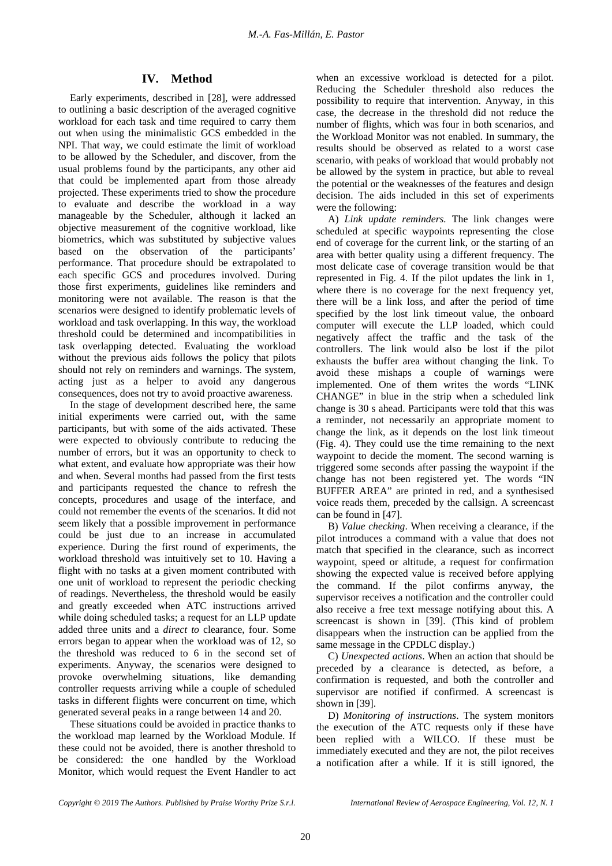# **IV. Method**

Early experiments, described in [28], were addressed to outlining a basic description of the averaged cognitive workload for each task and time required to carry them out when using the minimalistic GCS embedded in the NPI. That way, we could estimate the limit of workload to be allowed by the Scheduler, and discover, from the usual problems found by the participants, any other aid that could be implemented apart from those already projected. These experiments tried to show the procedure to evaluate and describe the workload in a way manageable by the Scheduler, although it lacked an objective measurement of the cognitive workload, like biometrics, which was substituted by subjective values based on the observation of the participants' performance. That procedure should be extrapolated to each specific GCS and procedures involved. During those first experiments, guidelines like reminders and monitoring were not available. The reason is that the scenarios were designed to identify problematic levels of workload and task overlapping. In this way, the workload threshold could be determined and incompatibilities in task overlapping detected. Evaluating the workload without the previous aids follows the policy that pilots should not rely on reminders and warnings. The system, acting just as a helper to avoid any dangerous consequences, does not try to avoid proactive awareness.

In the stage of development described here, the same initial experiments were carried out, with the same participants, but with some of the aids activated. These were expected to obviously contribute to reducing the number of errors, but it was an opportunity to check to what extent, and evaluate how appropriate was their how and when. Several months had passed from the first tests and participants requested the chance to refresh the concepts, procedures and usage of the interface, and could not remember the events of the scenarios. It did not seem likely that a possible improvement in performance could be just due to an increase in accumulated experience. During the first round of experiments, the workload threshold was intuitively set to 10. Having a flight with no tasks at a given moment contributed with one unit of workload to represent the periodic checking of readings. Nevertheless, the threshold would be easily and greatly exceeded when ATC instructions arrived while doing scheduled tasks; a request for an LLP update added three units and a *direct to* clearance, four. Some errors began to appear when the workload was of 12, so the threshold was reduced to 6 in the second set of experiments. Anyway, the scenarios were designed to provoke overwhelming situations, like demanding controller requests arriving while a couple of scheduled tasks in different flights were concurrent on time, which generated several peaks in a range between 14 and 20.

These situations could be avoided in practice thanks to the workload map learned by the Workload Module. If these could not be avoided, there is another threshold to be considered: the one handled by the Workload Monitor, which would request the Event Handler to act when an excessive workload is detected for a pilot. Reducing the Scheduler threshold also reduces the possibility to require that intervention. Anyway, in this case, the decrease in the threshold did not reduce the number of flights, which was four in both scenarios, and the Workload Monitor was not enabled. In summary, the results should be observed as related to a worst case scenario, with peaks of workload that would probably not be allowed by the system in practice, but able to reveal the potential or the weaknesses of the features and design decision. The aids included in this set of experiments were the following:

A) *Link update reminders.* The link changes were scheduled at specific waypoints representing the close end of coverage for the current link, or the starting of an area with better quality using a different frequency. The most delicate case of coverage transition would be that represented in Fig. 4. If the pilot updates the link in 1, where there is no coverage for the next frequency yet, there will be a link loss, and after the period of time specified by the lost link timeout value, the onboard computer will execute the LLP loaded, which could negatively affect the traffic and the task of the controllers. The link would also be lost if the pilot exhausts the buffer area without changing the link. To avoid these mishaps a couple of warnings were implemented. One of them writes the words "LINK CHANGE" in blue in the strip when a scheduled link change is 30 s ahead. Participants were told that this was a reminder, not necessarily an appropriate moment to change the link, as it depends on the lost link timeout (Fig. 4). They could use the time remaining to the next waypoint to decide the moment. The second warning is triggered some seconds after passing the waypoint if the change has not been registered yet. The words "IN BUFFER AREA" are printed in red, and a synthesised voice reads them, preceded by the callsign. A screencast can be found in [47].

B) *Value checking*. When receiving a clearance, if the pilot introduces a command with a value that does not match that specified in the clearance, such as incorrect waypoint, speed or altitude, a request for confirmation showing the expected value is received before applying the command. If the pilot confirms anyway, the supervisor receives a notification and the controller could also receive a free text message notifying about this. A screencast is shown in [39]. (This kind of problem disappears when the instruction can be applied from the same message in the CPDLC display.)

C) *Unexpected actions*. When an action that should be preceded by a clearance is detected, as before, a confirmation is requested, and both the controller and supervisor are notified if confirmed. A screencast is shown in [39].

D) *Monitoring of instructions*. The system monitors the execution of the ATC requests only if these have been replied with a WILCO. If these must be immediately executed and they are not, the pilot receives a notification after a while. If it is still ignored, the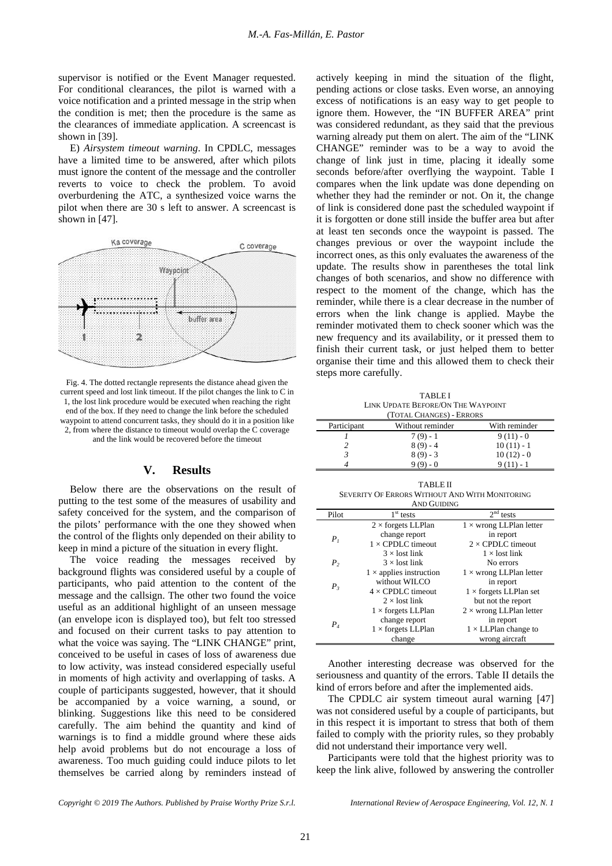supervisor is notified or the Event Manager requested. For conditional clearances, the pilot is warned with a voice notification and a printed message in the strip when the condition is met; then the procedure is the same as the clearances of immediate application. A screencast is shown in [39].

E) *Airsystem timeout warning*. In CPDLC, messages have a limited time to be answered, after which pilots must ignore the content of the message and the controller reverts to voice to check the problem. To avoid overburdening the ATC, a synthesized voice warns the pilot when there are 30 s left to answer. A screencast is shown in [47].



Fig. 4. The dotted rectangle represents the distance ahead given the current speed and lost link timeout. If the pilot changes the link to C in 1, the lost link procedure would be executed when reaching the right end of the box. If they need to change the link before the scheduled waypoint to attend concurrent tasks, they should do it in a position like 2, from where the distance to timeout would overlap the C coverage and the link would be recovered before the timeout

## **V. Results**

Below there are the observations on the result of putting to the test some of the measures of usability and safety conceived for the system, and the comparison of the pilots' performance with the one they showed when the control of the flights only depended on their ability to keep in mind a picture of the situation in every flight.

The voice reading the messages received by background flights was considered useful by a couple of participants, who paid attention to the content of the message and the callsign. The other two found the voice useful as an additional highlight of an unseen message (an envelope icon is displayed too), but felt too stressed and focused on their current tasks to pay attention to what the voice was saying. The "LINK CHANGE" print, conceived to be useful in cases of loss of awareness due to low activity, was instead considered especially useful in moments of high activity and overlapping of tasks. A couple of participants suggested, however, that it should be accompanied by a voice warning, a sound, or blinking. Suggestions like this need to be considered carefully. The aim behind the quantity and kind of warnings is to find a middle ground where these aids help avoid problems but do not encourage a loss of awareness. Too much guiding could induce pilots to let themselves be carried along by reminders instead of actively keeping in mind the situation of the flight, pending actions or close tasks. Even worse, an annoying excess of notifications is an easy way to get people to ignore them. However, the "IN BUFFER AREA" print was considered redundant, as they said that the previous warning already put them on alert. The aim of the "LINK CHANGE" reminder was to be a way to avoid the change of link just in time, placing it ideally some seconds before/after overflying the waypoint. Table I compares when the link update was done depending on whether they had the reminder or not. On it, the change of link is considered done past the scheduled waypoint if it is forgotten or done still inside the buffer area but after at least ten seconds once the waypoint is passed. The changes previous or over the waypoint include the incorrect ones, as this only evaluates the awareness of the update. The results show in parentheses the total link changes of both scenarios, and show no difference with respect to the moment of the change, which has the reminder, while there is a clear decrease in the number of errors when the link change is applied. Maybe the reminder motivated them to check sooner which was the new frequency and its availability, or it pressed them to finish their current task, or just helped them to better organise their time and this allowed them to check their steps more carefully.

TABLE I LINK UPDATE BEFORE/ON THE WAYPOINT (TOTAL CHANGES) - ERRORS

| Participant | Without reminder | With reminder |
|-------------|------------------|---------------|
|             | $7(9) - 1$       | $9(11) - 0$   |
|             | $8(9) - 4$       | $10(11) - 1$  |
|             | $8(9) - 3$       | $10(12) - 0$  |
|             |                  |               |
|             |                  |               |

TABLE II SEVERITY OF ERRORS WITHOUT AND WITH MONITORING AND GUIDING

| AND OUIDING    |                                |                                |
|----------------|--------------------------------|--------------------------------|
| Pilot          | $1st$ tests                    | $2nd$ tests                    |
|                | $2 \times$ forgets LLPlan      | $1 \times$ wrong LLPlan letter |
| P <sub>1</sub> | change report                  | in report                      |
|                | $1 \times$ CPDLC timeout       | $2 \times$ CPDLC timeout       |
|                | $3 \times$ lost link           | $1 \times$ lost link           |
| P <sub>2</sub> | $3 \times$ lost link           | No errors                      |
| $P_3$          | $1 \times$ applies instruction | $1 \times$ wrong LLPlan letter |
|                | without WILCO                  | in report                      |
|                | $4 \times$ CPDLC timeout       | $1 \times$ forgets LLPlan set  |
|                | $2 \times$ lost link           | but not the report             |
| P <sub>4</sub> | $1 \times$ forgets LLPlan      | $2 \times$ wrong LLPlan letter |
|                | change report                  | in report                      |
|                | $1 \times$ forgets LLPlan      | $1 \times LLP$ lan change to   |
|                | change                         | wrong aircraft                 |

Another interesting decrease was observed for the seriousness and quantity of the errors. Table II details the kind of errors before and after the implemented aids.

The CPDLC air system timeout aural warning [47] was not considered useful by a couple of participants, but in this respect it is important to stress that both of them failed to comply with the priority rules, so they probably did not understand their importance very well.

Participants were told that the highest priority was to keep the link alive, followed by answering the controller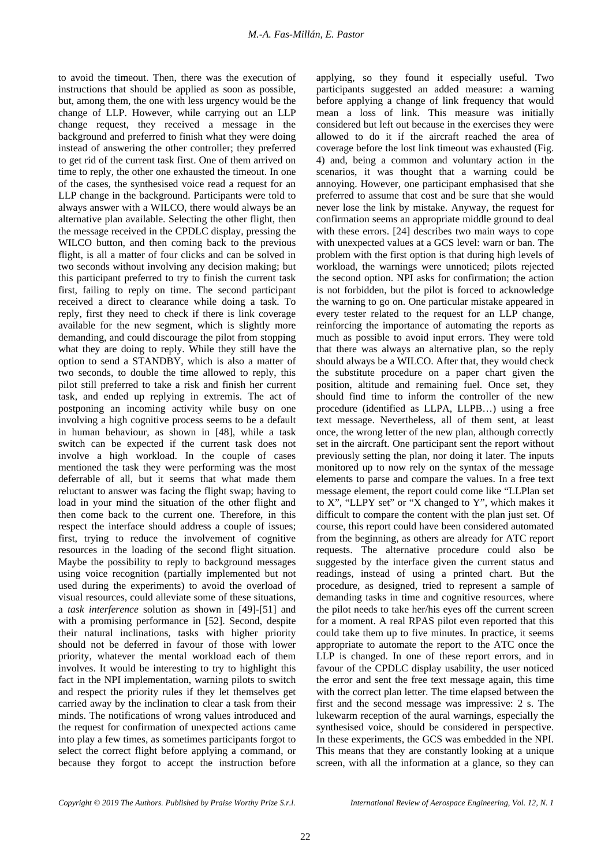to avoid the timeout. Then, there was the execution of instructions that should be applied as soon as possible, but, among them, the one with less urgency would be the change of LLP. However, while carrying out an LLP change request, they received a message in the background and preferred to finish what they were doing instead of answering the other controller; they preferred to get rid of the current task first. One of them arrived on time to reply, the other one exhausted the timeout. In one of the cases, the synthesised voice read a request for an LLP change in the background. Participants were told to always answer with a WILCO, there would always be an alternative plan available. Selecting the other flight, then the message received in the CPDLC display, pressing the WILCO button, and then coming back to the previous flight, is all a matter of four clicks and can be solved in two seconds without involving any decision making; but this participant preferred to try to finish the current task first, failing to reply on time. The second participant received a direct to clearance while doing a task. To reply, first they need to check if there is link coverage available for the new segment, which is slightly more demanding, and could discourage the pilot from stopping what they are doing to reply. While they still have the option to send a STANDBY, which is also a matter of two seconds, to double the time allowed to reply, this pilot still preferred to take a risk and finish her current task, and ended up replying in extremis. The act of postponing an incoming activity while busy on one involving a high cognitive process seems to be a default in human behaviour, as shown in [48], while a task switch can be expected if the current task does not involve a high workload. In the couple of cases mentioned the task they were performing was the most deferrable of all, but it seems that what made them reluctant to answer was facing the flight swap; having to load in your mind the situation of the other flight and then come back to the current one. Therefore, in this respect the interface should address a couple of issues; first, trying to reduce the involvement of cognitive resources in the loading of the second flight situation. Maybe the possibility to reply to background messages using voice recognition (partially implemented but not used during the experiments) to avoid the overload of visual resources, could alleviate some of these situations, a *task interference* solution as shown in [49]-[51] and with a promising performance in [52]. Second, despite their natural inclinations, tasks with higher priority should not be deferred in favour of those with lower priority, whatever the mental workload each of them involves. It would be interesting to try to highlight this fact in the NPI implementation, warning pilots to switch and respect the priority rules if they let themselves get carried away by the inclination to clear a task from their minds. The notifications of wrong values introduced and the request for confirmation of unexpected actions came into play a few times, as sometimes participants forgot to select the correct flight before applying a command, or because they forgot to accept the instruction before

applying, so they found it especially useful. Two participants suggested an added measure: a warning before applying a change of link frequency that would mean a loss of link. This measure was initially considered but left out because in the exercises they were allowed to do it if the aircraft reached the area of coverage before the lost link timeout was exhausted (Fig. 4) and, being a common and voluntary action in the scenarios, it was thought that a warning could be annoying. However, one participant emphasised that she preferred to assume that cost and be sure that she would never lose the link by mistake. Anyway, the request for confirmation seems an appropriate middle ground to deal with these errors. [24] describes two main ways to cope with unexpected values at a GCS level: warn or ban. The problem with the first option is that during high levels of workload, the warnings were unnoticed; pilots rejected the second option. NPI asks for confirmation; the action is not forbidden, but the pilot is forced to acknowledge the warning to go on. One particular mistake appeared in every tester related to the request for an LLP change, reinforcing the importance of automating the reports as much as possible to avoid input errors. They were told that there was always an alternative plan, so the reply should always be a WILCO. After that, they would check the substitute procedure on a paper chart given the position, altitude and remaining fuel. Once set, they should find time to inform the controller of the new procedure (identified as LLPA, LLPB…) using a free text message. Nevertheless, all of them sent, at least once, the wrong letter of the new plan, although correctly set in the aircraft. One participant sent the report without previously setting the plan, nor doing it later. The inputs monitored up to now rely on the syntax of the message elements to parse and compare the values. In a free text message element, the report could come like "LLPlan set to X", "LLPY set" or "X changed to Y", which makes it difficult to compare the content with the plan just set. Of course, this report could have been considered automated from the beginning, as others are already for ATC report requests. The alternative procedure could also be suggested by the interface given the current status and readings, instead of using a printed chart. But the procedure, as designed, tried to represent a sample of demanding tasks in time and cognitive resources, where the pilot needs to take her/his eyes off the current screen for a moment. A real RPAS pilot even reported that this could take them up to five minutes. In practice, it seems appropriate to automate the report to the ATC once the LLP is changed. In one of these report errors, and in favour of the CPDLC display usability, the user noticed the error and sent the free text message again, this time with the correct plan letter. The time elapsed between the first and the second message was impressive: 2 s. The lukewarm reception of the aural warnings, especially the synthesised voice, should be considered in perspective. In these experiments, the GCS was embedded in the NPI. This means that they are constantly looking at a unique screen, with all the information at a glance, so they can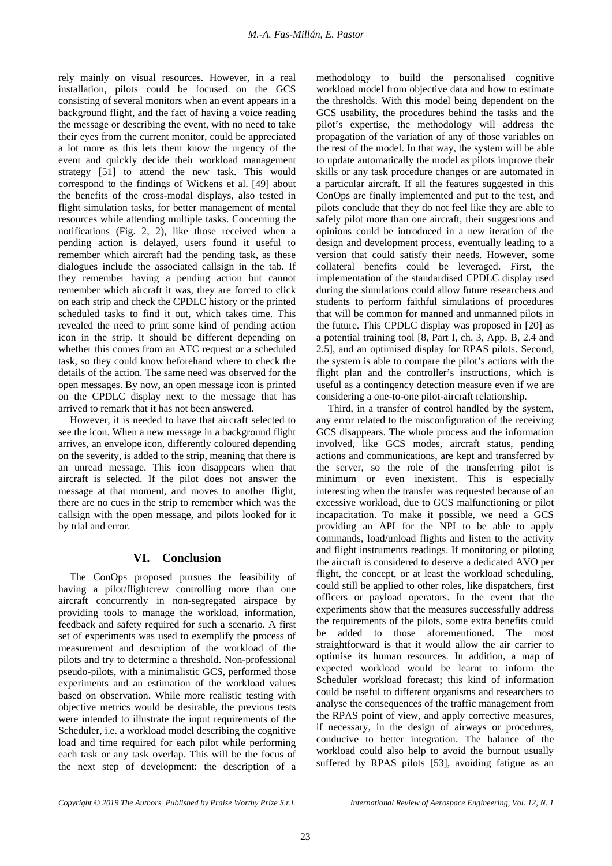rely mainly on visual resources. However, in a real installation, pilots could be focused on the GCS consisting of several monitors when an event appears in a background flight, and the fact of having a voice reading the message or describing the event, with no need to take their eyes from the current monitor, could be appreciated a lot more as this lets them know the urgency of the event and quickly decide their workload management strategy [51] to attend the new task. This would correspond to the findings of Wickens et al. [49] about the benefits of the cross-modal displays, also tested in flight simulation tasks, for better management of mental resources while attending multiple tasks. Concerning the notifications (Fig. 2, 2), like those received when a pending action is delayed, users found it useful to remember which aircraft had the pending task, as these dialogues include the associated callsign in the tab. If they remember having a pending action but cannot remember which aircraft it was, they are forced to click on each strip and check the CPDLC history or the printed scheduled tasks to find it out, which takes time. This revealed the need to print some kind of pending action icon in the strip. It should be different depending on whether this comes from an ATC request or a scheduled task, so they could know beforehand where to check the details of the action. The same need was observed for the open messages. By now, an open message icon is printed on the CPDLC display next to the message that has arrived to remark that it has not been answered.

However, it is needed to have that aircraft selected to see the icon. When a new message in a background flight arrives, an envelope icon, differently coloured depending on the severity, is added to the strip, meaning that there is an unread message. This icon disappears when that aircraft is selected. If the pilot does not answer the message at that moment, and moves to another flight, there are no cues in the strip to remember which was the callsign with the open message, and pilots looked for it by trial and error.

# **VI. Conclusion**

The ConOps proposed pursues the feasibility of having a pilot/flightcrew controlling more than one aircraft concurrently in non-segregated airspace by providing tools to manage the workload, information, feedback and safety required for such a scenario. A first set of experiments was used to exemplify the process of measurement and description of the workload of the pilots and try to determine a threshold. Non-professional pseudo-pilots, with a minimalistic GCS, performed those experiments and an estimation of the workload values based on observation. While more realistic testing with objective metrics would be desirable, the previous tests were intended to illustrate the input requirements of the Scheduler, i.e. a workload model describing the cognitive load and time required for each pilot while performing each task or any task overlap. This will be the focus of the next step of development: the description of a

methodology to build the personalised cognitive workload model from objective data and how to estimate the thresholds. With this model being dependent on the GCS usability, the procedures behind the tasks and the pilot's expertise, the methodology will address the propagation of the variation of any of those variables on the rest of the model. In that way, the system will be able to update automatically the model as pilots improve their skills or any task procedure changes or are automated in a particular aircraft. If all the features suggested in this ConOps are finally implemented and put to the test, and pilots conclude that they do not feel like they are able to safely pilot more than one aircraft, their suggestions and opinions could be introduced in a new iteration of the design and development process, eventually leading to a version that could satisfy their needs. However, some collateral benefits could be leveraged. First, the implementation of the standardised CPDLC display used during the simulations could allow future researchers and students to perform faithful simulations of procedures that will be common for manned and unmanned pilots in the future. This CPDLC display was proposed in [20] as a potential training tool [8, Part I, ch. 3, App. B, 2.4 and 2.5], and an optimised display for RPAS pilots. Second, the system is able to compare the pilot's actions with the flight plan and the controller's instructions, which is useful as a contingency detection measure even if we are considering a one-to-one pilot-aircraft relationship.

Third, in a transfer of control handled by the system, any error related to the misconfiguration of the receiving GCS disappears. The whole process and the information involved, like GCS modes, aircraft status, pending actions and communications, are kept and transferred by the server, so the role of the transferring pilot is minimum or even inexistent. This is especially interesting when the transfer was requested because of an excessive workload, due to GCS malfunctioning or pilot incapacitation. To make it possible, we need a GCS providing an API for the NPI to be able to apply commands, load/unload flights and listen to the activity and flight instruments readings. If monitoring or piloting the aircraft is considered to deserve a dedicated AVO per flight, the concept, or at least the workload scheduling, could still be applied to other roles, like dispatchers, first officers or payload operators. In the event that the experiments show that the measures successfully address the requirements of the pilots, some extra benefits could be added to those aforementioned. The most straightforward is that it would allow the air carrier to optimise its human resources. In addition, a map of expected workload would be learnt to inform the Scheduler workload forecast; this kind of information could be useful to different organisms and researchers to analyse the consequences of the traffic management from the RPAS point of view, and apply corrective measures, if necessary, in the design of airways or procedures, conducive to better integration. The balance of the workload could also help to avoid the burnout usually suffered by RPAS pilots [53], avoiding fatigue as an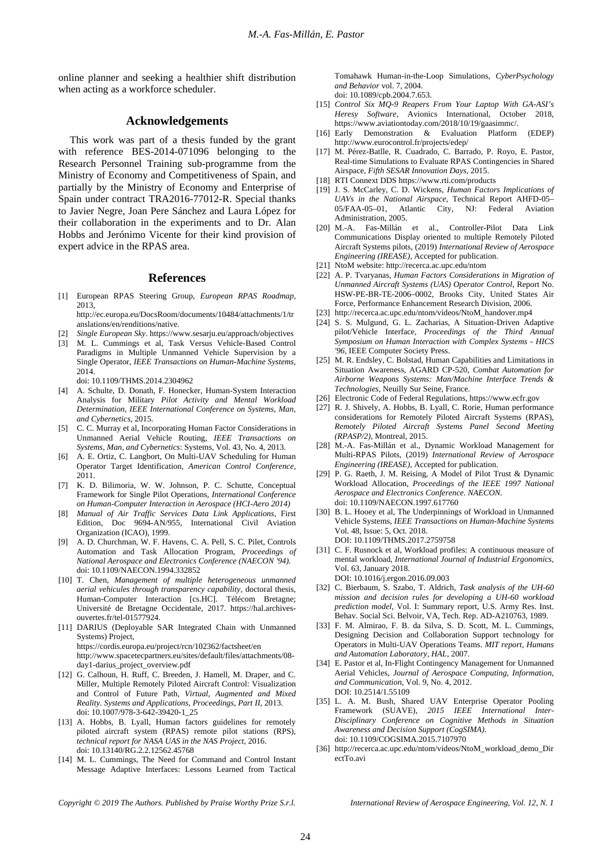online planner and seeking a healthier shift distribution when acting as a workforce scheduler.

### **Acknowledgements**

This work was part of a thesis funded by the grant with reference BES-2014-071096 belonging to the Research Personnel Training sub-programme from the Ministry of Economy and Competitiveness of Spain, and partially by the Ministry of Economy and Enterprise of Spain under contract TRA2016-77012-R. Special thanks to Javier Negre, Joan Pere Sánchez and Laura López for their collaboration in the experiments and to Dr. Alan Hobbs and Jerónimo Vicente for their kind provision of expert advice in the RPAS area.

#### **References**

[1] European RPAS Steering Group, *European RPAS Roadmap*, 2013,

<http://ec.europa.eu/DocsRoom/documents/10484/attachments/1/tr> anslations/en/renditions/native.

- [2] *Single European Sky*. <https://www.sesarju.eu/approach/objectives>
- [3] M. L. Cummings et al, Task Versus Vehicle-Based Control Paradigms in Multiple Unmanned Vehicle Supervision by a Single Operator, *IEEE Transactions on Human-Machine Systems,*  2014.

doi: 10.1109/THMS.2014.2304962

- [4] A. Schulte, D. Donath, F. Honecker, Human-System Interaction Analysis for Military *Pilot Activity and Mental Workload Determination, IEEE International Conference on Systems, Man, and Cybernetics*, 2015.
- [5] C. C. Murray et al, Incorporating Human Factor Considerations in Unmanned Aerial Vehicle Routing, *IEEE Transactions on Systems, Man, and Cybernetics*: Systems, Vol. 43, No. 4, 2013.
- [6] A. E. Ortiz, C. Langbort, On Multi-UAV Scheduling for Human Operator Target Identification, *American Control Conference*, 2011.
- [7] K. D. Bilimoria, W. W. Johnson, P. C. Schutte, Conceptual Framework for Single Pilot Operations, *International Conference on Human-Computer Interaction in Aerospace (HCI-Aero 2014)*
- [8] *Manual of Air Traffic Services Data Link Applications*, First Edition, Doc 9694-AN/955, International Civil Aviation Organization (ICAO), 1999.
- [9] A. D. Churchman, W. F. Havens, C. A. Pell, S. C. Pilet, Controls Automation and Task Allocation Program, *Proceedings of National Aerospace and Electronics Conference (NAECON '94).* doi: 10.1109/NAECON.1994.332852
- [10] T. Chen, *Management of multiple heterogeneous unmanned aerial vehicules through transparency capability*, doctoral thesis, Human-Computer Interaction [cs.HC]. Télécom Bretagne; Université de Bretagne Occidentale, 2017. [https://hal.archives](https://hal.archives-)ouvertes.fr/tel-01577924.
- [11] DARIUS (Deployable SAR Integrated Chain with Unmanned Systems) Project, <https://cordis.europa.eu/project/rcn/102362/factsheet/en> [http://www.spacetecpartners.eu/sites/default/files/attachments/08](http://www.spacetecpartners.eu/sites/default/files/attachments/08-) day1-darius\_project\_overview.pdf
- [12] G. Calhoun, H. Ruff, C. Breeden, J. Hamell, M. Draper, and C. Miller, Multiple Remotely Piloted Aircraft Control: Visualization and Control of Future Path, *Virtual, Augmented and Mixed Reality. Systems and Applications, Proceedings, Part II*, 2013. doi: 10.1007/978-3-642-39420-1\_25
- [13] A. Hobbs, B. Lyall, Human factors guidelines for remotely piloted aircraft system (RPAS) remote pilot stations (RPS), *technical report for NASA UAS in the NAS Project*, 2016. doi: 10.13140/RG.2.2.12562.45768
- [14] M. L. Cummings, The Need for Command and Control Instant Message Adaptive Interfaces: Lessons Learned from Tactical

Tomahawk Human-in-the-Loop Simulations, *CyberPsychology and Behavior* vol. 7, 2004. doi: 10.1089/cpb.2004.7.653.

- [15] *Control Six MQ-9 Reapers From Your Laptop With GA-ASI's Heresy Software*, Avionics International, October 2018, <https://www.aviationtoday.com/2018/10/19/gaasimmc/.>
- [16] Early Demonstration & Evaluation Platform (EDEP) <http://www.eurocontrol.fr/projects/edep/>
- [17] M. Pérez-Batlle, R. Cuadrado, C. Barrado, P. Royo, E. Pastor, Real-time Simulations to Evaluate RPAS Contingencies in Shared Airspace, *Fifth SESAR Innovation Days,* 2015.
- [18] RTI Connext DDS <https://www.rti.com/products>
- [19] J. S. McCarley, C. D. Wickens, *Human Factors Implications of UAVs in the National Airspace*, Technical Report AHFD-05– 05/FAA-05–01, Atlantic City, NJ: Federal Aviation Administration, 2005.
- [20] M.-A. Fas-Millán et al., Controller-Pilot Data Link Communications Display oriented to multiple Remotely Piloted Aircraft Systems pilots, (2019) *International Review of Aerospace Engineering (IREASE),* Accepted for publication.
- [21] NtoM website: <http://recerca.ac.upc.edu/ntom>
- [22] A. P. Tvaryanas, *Human Factors Considerations in Migration of Unmanned Aircraft Systems (UAS) Operator Control*, Report No. HSW-PE-BR-TE-2006–0002, Brooks City, United States Air Force, Performance Enhancement Research Division, 2006.
- [23] [http://recerca.ac.upc.edu/ntom/videos/NtoM\\_handover.mp4](http://recerca.ac.upc.edu/ntom/videos/NtoM_handover.mp4)
- [24] S. S. Mulgund, G. L. Zacharias, A Situation-Driven Adaptive pilot/Vehicle Interface, *Proceedings of the Third Annual Symposium on Human Interaction with Complex Systems - HICS '96*, IEEE Computer Society Press.
- [25] M. R. Endsley, C. Bolstad, Human Capabilities and Limitations in Situation Awareness, AGARD CP-520, *Combat Automation for Airborne Weapons Systems: Man/Machine Interface Trends & Technologies*, Neuilly Sur Seine, France.
- [26] Electronic Code of Federal Regulations, <https://www.ecfr.gov>
- [27] R. J. Shively, A. Hobbs, B. Lyall, C. Rorie, Human performance considerations for Remotely Piloted Aircraft Systems (RPAS), *Remotely Piloted Aircraft Systems Panel Second Meeting (RPASP/2)*, Montreal, 2015.
- [28] M.-A. Fas-Millán et al., Dynamic Workload Management for Multi-RPAS Pilots, (2019) *International Review of Aerospace Engineering (IREASE)*, Accepted for publication.
- [29] P. G. Raeth, J. M. Reising, A Model of Pilot Trust & Dynamic Workload Allocation, *Proceedings of the IEEE 1997 National Aerospace and Electronics Conference. NAECON.* doi: 10.1109/NAECON.1997.617760
- [30] B. L. Hooey et al, The Underpinnings of Workload in Unmanned Vehicle Systems, *IEEE Transactions on Human-Machine Systems*  Vol. 48, Issue: 5, Oct. 2018. DOI: 10.1109/THMS.2017.2759758
- [31] C. F. Rusnock et al, Workload profiles: A continuous measure of mental workload, *International Journal of Industrial Ergonomics*, Vol. 63, January 2018. DOI: 10.1016/j.ergon.2016.09.003
- [32] C. Bierbaum, S. Szabo, T. Aldrich, *Task analysis of the UH-60 mission and decision rules for developing a UH-60 workload prediction model*, Vol. I: Summary report, U.S. Army Res. Inst. Behav. Social Sci. Belvoir, VA, Tech. Rep. AD-A210763, 1989.
- [33] F. M. Almirao, F. B. da Silva, S. D. Scott, M. L. Cummings, Designing Decision and Collaboration Support technology for Operators in Multi-UAV Operations Teams. *MIT report, Humans and Automation Laboratory, HAL*, 2007.
- [34] E. Pastor et al, In-Flight Contingency Management for Unmanned Aerial Vehicles, *Journal of Aerospace Computing, Information, and Communication*, Vol. 9, No. 4, 2012. DOI: 10.2514/1.55109
- [35] L. A. M. Bush, Shared UAV Enterprise Operator Pooling Framework (SUAVE), *2015 IEEE International Inter-Disciplinary Conference on Cognitive Methods in Situation Awareness and Decision Support (CogSIMA).* doi: 10.1109/COGSIMA.2015.7107970
- [36] [http://recerca.ac.upc.edu/ntom/videos/NtoM\\_workload\\_demo\\_Dir](http://recerca.ac.upc.edu/ntom/videos/NtoM_workload_demo_Dir) ectTo.avi

*Copyright © 2019 The Authors. Published by Praise Worthy Prize S.r.l. International Review of Aerospace Engineering, Vol. 12, N. 1*